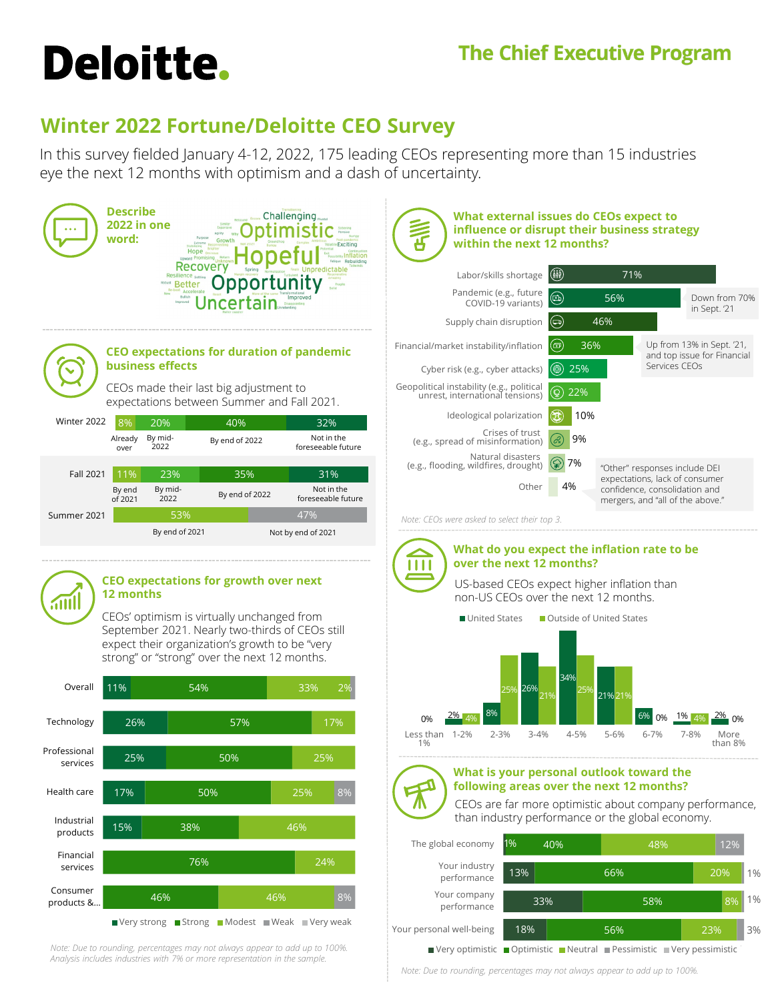## **The Chief Executive Program**

# **Deloitte.**

## **Winter 2022 Fortune/Deloitte CEO Survey**

In this survey fielded January 4-12, 2022, 175 leading CEOs representing more than 15 industries eye the next 12 months with optimism and a dash of uncertainty.



*Note: Due to rounding, percentages may not always appear to add up to 100%. Analysis includes industries with 7% or more representation in the sample.*

*Note: Due to rounding, percentages may not always appear to add up to 100%.*

■ Very optimistic ■ Optimistic ■ Neutral ■ Pessimistic ■ Very pessimistic